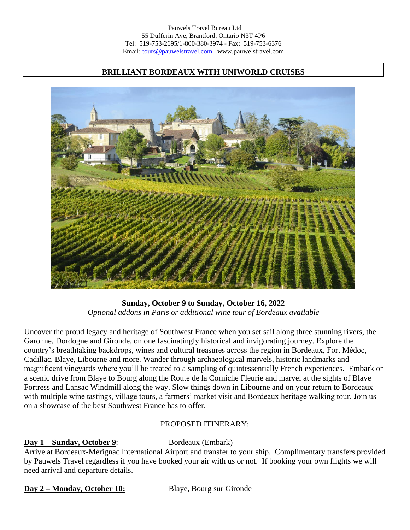## **BRILLIANT BORDEAUX WITH UNIWORLD CRUISES**



**Sunday, October 9 to Sunday, October 16, 2022** *Optional addons in Paris or additional wine tour of Bordeaux available*

Uncover the proud legacy and heritage of Southwest France when you set sail along three stunning rivers, the Garonne, Dordogne and Gironde, on one fascinatingly historical and invigorating journey. Explore the country's breathtaking backdrops, wines and cultural treasures across the region in Bordeaux, Fort Médoc, Cadillac, Blaye, Libourne and more. Wander through archaeological marvels, historic landmarks and magnificent vineyards where you'll be treated to a sampling of quintessentially French experiences. Embark on a scenic drive from Blaye to Bourg along the Route de la Corniche Fleurie and marvel at the sights of Blaye Fortress and Lansac Windmill along the way. Slow things down in Libourne and on your return to Bordeaux with multiple wine tastings, village tours, a farmers' market visit and Bordeaux heritage walking tour. Join us on a showcase of the best Southwest France has to offer.

### PROPOSED ITINERARY:

### **Day 1 – Sunday, October 9:** Bordeaux (Embark)

Arrive at Bordeaux-Mérignac International Airport and transfer to your ship. Complimentary transfers provided by Pauwels Travel regardless if you have booked your air with us or not. If booking your own flights we will need arrival and departure details.

**Day 2 – Monday, October 10:** Blaye, Bourg sur Gironde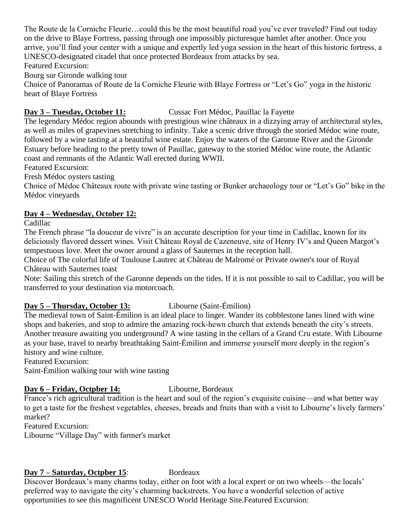The Route de la Corniche Fleurie…could this be the most beautiful road you've ever traveled? Find out today on the drive to Blaye Fortress, passing through one impossibly picturesque hamlet after another. Once you arrive, you'll find your center with a unique and expertly led yoga session in the heart of this historic fortress, a UNESCO-designated citadel that once protected Bordeaux from attacks by sea.

Featured Excursion:

Bourg sur Gironde walking tour

Choice of Panoramas of Route de la Corniche Fleurie with Blaye Fortress or "Let's Go" yoga in the historic heart of Blaye Fortress

**Day 3 – Tuesday, October 11:** Cussac Fort Médoc, Pauillac la Fayette

The legendary Médoc region abounds with prestigious wine châteaux in a dizzying array of architectural styles, as well as miles of grapevines stretching to infinity. Take a scenic drive through the storied Médoc wine route, followed by a wine tasting at a beautiful wine estate. Enjoy the waters of the Garonne River and the Gironde Estuary before heading to the pretty town of Pauillac, gateway to the storied Médoc wine route, the Atlantic coast and remnants of the Atlantic Wall erected during WWII.

Featured Excursion:

Fresh Médoc oysters tasting

Choice of Médoc Châteaux route with private wine tasting or Bunker archaeology tour or "Let's Go" bike in the Médoc vineyards

# **Day 4 – Wednesday, October 12:**

Cadillac

The French phrase "la douceur de vivre" is an accurate description for your time in Cadillac, known for its deliciously flavored dessert wines. Visit Château Royal de Cazeneuve, site of Henry IV's and Queen Margot's tempestuous love. Meet the owner around a glass of Sauternes in the reception hall.

Choice of The colorful life of Toulouse Lautrec at Château de Malromé or Private owner's tour of Royal Château with Sauternes toast

Note: Sailing this stretch of the Garonne depends on the tides. If it is not possible to sail to Cadillac, you will be transferred to your destination via motorcoach.

# **Day 5 – Thursday, October 13:** Libourne (Saint-Émilion)

The medieval town of Saint-Émilion is an ideal place to linger. Wander its cobblestone lanes lined with wine shops and bakeries, and stop to admire the amazing rock-hewn church that extends beneath the city's streets. Another treasure awaiting you underground? A wine tasting in the cellars of a Grand Cru estate. With Libourne as your base, travel to nearby breathtaking Saint-Émilion and immerse yourself more deeply in the region's history and wine culture.

Featured Excursion:

Saint-Émilion walking tour with wine tasting

# **Day 6 – Friday, Octpber 14:** Libourne, Bordeaux

France's rich agricultural tradition is the heart and soul of the region's exquisite cuisine—and what better way to get a taste for the freshest vegetables, cheeses, breads and fruits than with a visit to Libourne's lively farmers' market?

Featured Excursion:

Libourne "Village Day" with farmer's market

# **Day 7 – Saturday, Octpber 15**: Bordeaux

Discover Bordeaux's many charms today, either on foot with a local expert or on two wheels—the locals' preferred way to navigate the city's charming backstreets. You have a wonderful selection of active opportunities to see this magnificent UNESCO World Heritage Site.Featured Excursion: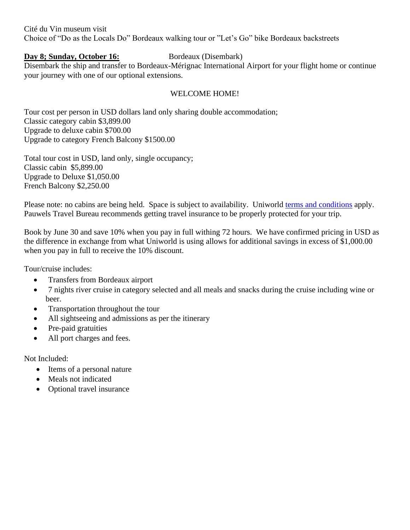Cité du Vin museum visit Choice of "Do as the Locals Do" Bordeaux walking tour or "Let's Go" bike Bordeaux backstreets

### **Day 8; Sunday, October 16:** Bordeaux (Disembark)

Disembark the ship and transfer to Bordeaux-Mérignac International Airport for your flight home or continue your journey with one of our optional extensions.

### WELCOME HOME!

Tour cost per person in USD dollars land only sharing double accommodation; Classic category cabin \$3,899.00 Upgrade to deluxe cabin \$700.00 Upgrade to category French Balcony \$1500.00

Total tour cost in USD, land only, single occupancy; Classic cabin \$5,899.00 Upgrade to Deluxe \$1,050.00 French Balcony \$2,250.00

Please note: no cabins are being held. Space is subject to availability. Uniworld [terms and conditions](https://www.avalonwaterways.ca/terms/) apply. Pauwels Travel Bureau recommends getting travel insurance to be properly protected for your trip.

Book by June 30 and save 10% when you pay in full withing 72 hours. We have confirmed pricing in USD as the difference in exchange from what Uniworld is using allows for additional savings in excess of \$1,000.00 when you pay in full to receive the 10% discount.

Tour/cruise includes:

- Transfers from Bordeaux airport
- 7 nights river cruise in category selected and all meals and snacks during the cruise including wine or beer.
- Transportation throughout the tour
- All sightseeing and admissions as per the itinerary
- Pre-paid gratuities
- All port charges and fees.

Not Included:

- Items of a personal nature
- Meals not indicated
- Optional travel insurance